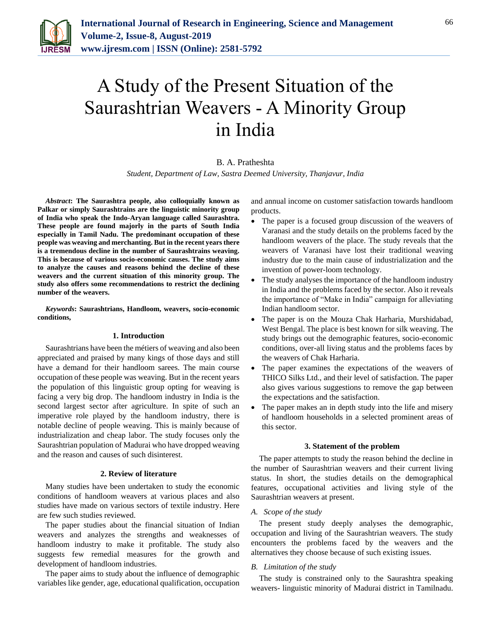

# A Study of the Present Situation of the Saurashtrian Weavers - A Minority Group in India

# B. A. Pratheshta

*Student, Department of Law, Sastra Deemed University, Thanjavur, India*

*Abstract***: The Saurashtra people, also colloquially known as Palkar or simply Saurashtrains are the linguistic minority group of India who speak the Indo-Aryan language called Saurashtra. These people are found majorly in the parts of South India especially in Tamil Nadu. The predominant occupation of these people was weaving and merchanting. But in the recent years there is a tremendous decline in the number of Saurashtrains weaving. This is because of various socio-economic causes. The study aims to analyze the causes and reasons behind the decline of these weavers and the current situation of this minority group. The study also offers some recommendations to restrict the declining number of the weavers.**

*Keywords***: Saurashtrians, Handloom, weavers, socio-economic conditions,**

#### **1. Introduction**

Saurashtrians have been the métiers of weaving and also been appreciated and praised by many kings of those days and still have a demand for their handloom sarees. The main course occupation of these people was weaving. But in the recent years the population of this linguistic group opting for weaving is facing a very big drop. The handloom industry in India is the second largest sector after agriculture. In spite of such an imperative role played by the handloom industry, there is notable decline of people weaving. This is mainly because of industrialization and cheap labor. The study focuses only the Saurashtrian population of Madurai who have dropped weaving and the reason and causes of such disinterest.

#### **2. Review of literature**

Many studies have been undertaken to study the economic conditions of handloom weavers at various places and also studies have made on various sectors of textile industry. Here are few such studies reviewed.

The paper studies about the financial situation of Indian weavers and analyzes the strengths and weaknesses of handloom industry to make it profitable. The study also suggests few remedial measures for the growth and development of handloom industries.

The paper aims to study about the influence of demographic variables like gender, age, educational qualification, occupation and annual income on customer satisfaction towards handloom products.

- The paper is a focused group discussion of the weavers of Varanasi and the study details on the problems faced by the handloom weavers of the place. The study reveals that the weavers of Varanasi have lost their traditional weaving industry due to the main cause of industrialization and the invention of power-loom technology.
- The study analyses the importance of the handloom industry in India and the problems faced by the sector. Also it reveals the importance of "Make in India" campaign for alleviating Indian handloom sector.
- The paper is on the Mouza Chak Harharia, Murshidabad, West Bengal. The place is best known for silk weaving. The study brings out the demographic features, socio-economic conditions, over-all living status and the problems faces by the weavers of Chak Harharia.
- The paper examines the expectations of the weavers of THICO Silks Ltd., and their level of satisfaction. The paper also gives various suggestions to remove the gap between the expectations and the satisfaction.
- The paper makes an in depth study into the life and misery of handloom households in a selected prominent areas of this sector.

#### **3. Statement of the problem**

The paper attempts to study the reason behind the decline in the number of Saurashtrian weavers and their current living status. In short, the studies details on the demographical features, occupational activities and living style of the Saurashtrian weavers at present.

#### *A. Scope of the study*

The present study deeply analyses the demographic, occupation and living of the Saurashtrian weavers. The study encounters the problems faced by the weavers and the alternatives they choose because of such existing issues.

### *B. Limitation of the study*

The study is constrained only to the Saurashtra speaking weavers- linguistic minority of Madurai district in Tamilnadu.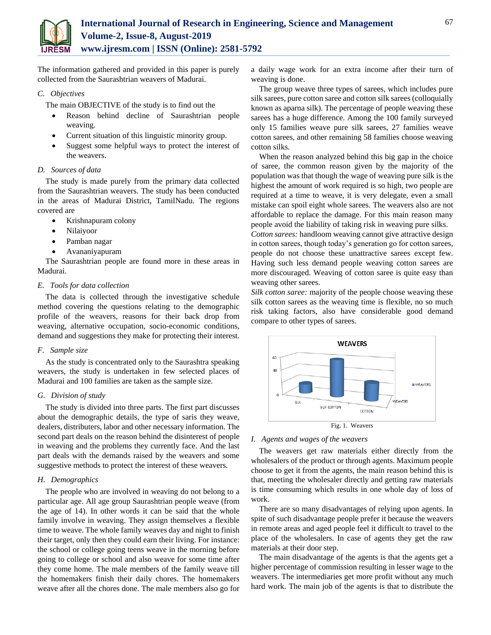

The information gathered and provided in this paper is purely collected from the Saurashtrian weavers of Madurai.

# *C. Objectives*

The main OBJECTIVE of the study is to find out the

- Reason behind decline of Saurashtrian people weaving.
- Current situation of this linguistic minority group.
- Suggest some helpful ways to protect the interest of the weavers.

## *D. Sources of data*

The study is made purely from the primary data collected from the Saurashtrian weavers. The study has been conducted in the areas of Madurai District, TamilNadu. The regions covered are

- Krishnapuram colony
- Nilaiyoor
- Pamban nagar
- Avananiyapuram

The Saurashtrian people are found more in these areas in Madurai.

## *E. Tools for data collection*

The data is collected through the investigative schedule method covering the questions relating to the demographic profile of the weavers, reasons for their back drop from weaving, alternative occupation, socio-economic conditions, demand and suggestions they make for protecting their interest.

### *F. Sample size*

As the study is concentrated only to the Saurashtra speaking weavers, the study is undertaken in few selected places of Madurai and 100 families are taken as the sample size.

# *G. Division of study*

The study is divided into three parts. The first part discusses about the demographic details, the type of saris they weave, dealers, distributers, labor and other necessary information. The second part deals on the reason behind the disinterest of people in weaving and the problems they currently face. And the last part deals with the demands raised by the weavers and some suggestive methods to protect the interest of these weavers.

# *H. Demographics*

The people who are involved in weaving do not belong to a particular age. All age group Saurashtrian people weave (from the age of 14). In other words it can be said that the whole family involve in weaving. They assign themselves a flexible time to weave. The whole family weaves day and night to finish their target, only then they could earn their living. For instance: the school or college going teens weave in the morning before going to college or school and also weave for some time after they come home. The male members of the family weave till the homemakers finish their daily chores. The homemakers weave after all the chores done. The male members also go for

a daily wage work for an extra income after their turn of weaving is done.

The group weave three types of sarees, which includes pure silk sarees, pure cotton saree and cotton silk sarees (colloquially known as aparna silk). The percentage of people weaving these sarees has a huge difference. Among the 100 family surveyed only 15 families weave pure silk sarees, 27 families weave cotton sarees, and other remaining 58 families choose weaving cotton silks.

When the reason analyzed behind this big gap in the choice of saree, the common reason given by the majority of the population was that though the wage of weaving pure silk is the highest the amount of work required is so high, two people are required at a time to weave, it is very delegate, even a small mistake can spoil eight whole sarees. The weavers also are not affordable to replace the damage. For this main reason many people avoid the liability of taking risk in weaving pure silks.

*Cotton sarees:* handloom weaving cannot give attractive design in cotton sarees, though today's generation go for cotton sarees, people do not choose these unattractive sarees except few. Having such less demand people weaving cotton sarees are more discouraged. Weaving of cotton saree is quite easy than weaving other sarees.

*Silk cotton saree:* majority of the people choose weaving these silk cotton sarees as the weaving time is flexible, no so much risk taking factors, also have considerable good demand compare to other types of sarees.



#### *I. Agents and wages of the weavers*

The weavers get raw materials either directly from the wholesalers of the product or through agents. Maximum people choose to get it from the agents, the main reason behind this is that, meeting the wholesaler directly and getting raw materials is time consuming which results in one whole day of loss of work.

There are so many disadvantages of relying upon agents. In spite of such disadvantage people prefer it because the weavers in remote areas and aged people feel it difficult to travel to the place of the wholesalers. In case of agents they get the raw materials at their door step.

The main disadvantage of the agents is that the agents get a higher percentage of commission resulting in lesser wage to the weavers. The intermediaries get more profit without any much hard work. The main job of the agents is that to distribute the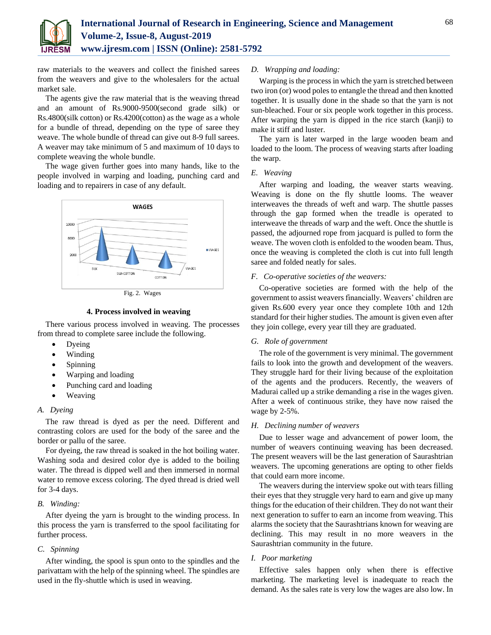

raw materials to the weavers and collect the finished sarees from the weavers and give to the wholesalers for the actual market sale.

The agents give the raw material that is the weaving thread and an amount of Rs.9000-9500(second grade silk) or Rs.4800(silk cotton) or Rs.4200(cotton) as the wage as a whole for a bundle of thread, depending on the type of saree they weave. The whole bundle of thread can give out 8-9 full sarees. A weaver may take minimum of 5 and maximum of 10 days to complete weaving the whole bundle.

The wage given further goes into many hands, like to the people involved in warping and loading, punching card and loading and to repairers in case of any default.



Fig. 2. Wages

## **4. Process involved in weaving**

There various process involved in weaving. The processes from thread to complete saree include the following.

- Dyeing
- Winding
- Spinning
- Warping and loading
- Punching card and loading
- Weaving

# *A. Dyeing*

The raw thread is dyed as per the need. Different and contrasting colors are used for the body of the saree and the border or pallu of the saree.

For dyeing, the raw thread is soaked in the hot boiling water. Washing soda and desired color dye is added to the boiling water. The thread is dipped well and then immersed in normal water to remove excess coloring. The dyed thread is dried well for 3-4 days.

### *B. Winding:*

After dyeing the yarn is brought to the winding process. In this process the yarn is transferred to the spool facilitating for further process.

# *C. Spinning*

After winding, the spool is spun onto to the spindles and the parivattam with the help of the spinning wheel. The spindles are used in the fly-shuttle which is used in weaving.

## *D. Wrapping and loading:*

Warping is the process in which the yarn is stretched between two iron (or) wood poles to entangle the thread and then knotted together. It is usually done in the shade so that the yarn is not sun-bleached. Four or six people work together in this process. After warping the yarn is dipped in the rice starch (kanji) to make it stiff and luster.

The yarn is later warped in the large wooden beam and loaded to the loom. The process of weaving starts after loading the warp.

### *E. Weaving*

After warping and loading, the weaver starts weaving. Weaving is done on the fly shuttle looms. The weaver interweaves the threads of weft and warp. The shuttle passes through the gap formed when the treadle is operated to interweave the threads of warp and the weft. Once the shuttle is passed, the adjourned rope from jacquard is pulled to form the weave. The woven cloth is enfolded to the wooden beam. Thus, once the weaving is completed the cloth is cut into full length saree and folded neatly for sales.

## *F. Co-operative societies of the weavers:*

Co-operative societies are formed with the help of the government to assist weaversfinancially. Weavers' children are given Rs.600 every year once they complete 10th and 12th standard for their higher studies. The amount is given even after they join college, every year till they are graduated.

### *G. Role of government*

The role of the government is very minimal. The government fails to look into the growth and development of the weavers. They struggle hard for their living because of the exploitation of the agents and the producers. Recently, the weavers of Madurai called up a strike demanding a rise in the wages given. After a week of continuous strike, they have now raised the wage by 2-5%.

## *H. Declining number of weavers*

Due to lesser wage and advancement of power loom, the number of weavers continuing weaving has been decreased. The present weavers will be the last generation of Saurashtrian weavers. The upcoming generations are opting to other fields that could earn more income.

The weavers during the interview spoke out with tears filling their eyes that they struggle very hard to earn and give up many things for the education of their children. They do not want their next generation to suffer to earn an income from weaving. This alarms the society that the Saurashtrians known for weaving are declining. This may result in no more weavers in the Saurashtrian community in the future.

## *I. Poor marketing*

Effective sales happen only when there is effective marketing. The marketing level is inadequate to reach the demand. As the sales rate is very low the wages are also low. In